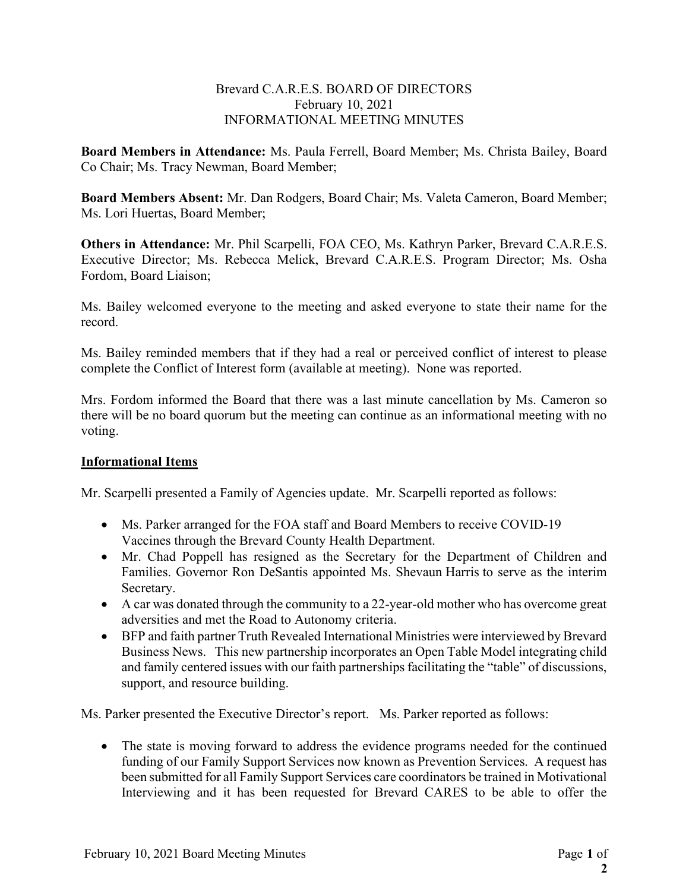## Brevard C.A.R.E.S. BOARD OF DIRECTORS February 10, 2021 INFORMATIONAL MEETING MINUTES

Board Members in Attendance: Ms. Paula Ferrell, Board Member; Ms. Christa Bailey, Board Co Chair; Ms. Tracy Newman, Board Member;

Board Members Absent: Mr. Dan Rodgers, Board Chair; Ms. Valeta Cameron, Board Member; Ms. Lori Huertas, Board Member;

Others in Attendance: Mr. Phil Scarpelli, FOA CEO, Ms. Kathryn Parker, Brevard C.A.R.E.S. Executive Director; Ms. Rebecca Melick, Brevard C.A.R.E.S. Program Director; Ms. Osha Fordom, Board Liaison;

Ms. Bailey welcomed everyone to the meeting and asked everyone to state their name for the record.

Ms. Bailey reminded members that if they had a real or perceived conflict of interest to please complete the Conflict of Interest form (available at meeting). None was reported.

Mrs. Fordom informed the Board that there was a last minute cancellation by Ms. Cameron so there will be no board quorum but the meeting can continue as an informational meeting with no voting.

## Informational Items

Mr. Scarpelli presented a Family of Agencies update. Mr. Scarpelli reported as follows:

- Ms. Parker arranged for the FOA staff and Board Members to receive COVID-19 Vaccines through the Brevard County Health Department.
- Mr. Chad Poppell has resigned as the Secretary for the Department of Children and Families. Governor Ron DeSantis appointed Ms. Shevaun Harris to serve as the interim Secretary.
- A car was donated through the community to a 22-year-old mother who has overcome great adversities and met the Road to Autonomy criteria.
- BFP and faith partner Truth Revealed International Ministries were interviewed by Brevard Business News. This new partnership incorporates an Open Table Model integrating child and family centered issues with our faith partnerships facilitating the "table" of discussions, support, and resource building.

Ms. Parker presented the Executive Director's report. Ms. Parker reported as follows:

• The state is moving forward to address the evidence programs needed for the continued funding of our Family Support Services now known as Prevention Services. A request has been submitted for all Family Support Services care coordinators be trained in Motivational Interviewing and it has been requested for Brevard CARES to be able to offer the